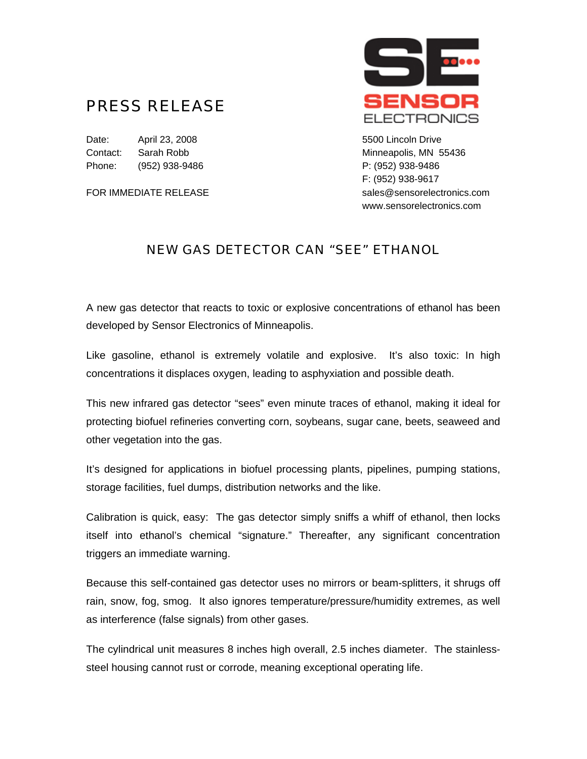## PRESS RELEASE

Date: April 23, 2008 **5500 Lincoln Drive** Contact: Sarah Robb Minneapolis, MN 55436 Phone: (952) 938-9486 P: (952) 938-9486



F: (952) 938-9617 FOR IMMEDIATE RELEASE sales@sensorelectronics.com www.sensorelectronics.com

## NEW GAS DETECTOR CAN "SEE" ETHANOL

A new gas detector that reacts to toxic or explosive concentrations of ethanol has been developed by Sensor Electronics of Minneapolis.

Like gasoline, ethanol is extremely volatile and explosive. It's also toxic: In high concentrations it displaces oxygen, leading to asphyxiation and possible death.

This new infrared gas detector "sees" even minute traces of ethanol, making it ideal for protecting biofuel refineries converting corn, soybeans, sugar cane, beets, seaweed and other vegetation into the gas.

It's designed for applications in biofuel processing plants, pipelines, pumping stations, storage facilities, fuel dumps, distribution networks and the like.

Calibration is quick, easy: The gas detector simply sniffs a whiff of ethanol, then locks itself into ethanol's chemical "signature." Thereafter, any significant concentration triggers an immediate warning.

Because this self-contained gas detector uses no mirrors or beam-splitters, it shrugs off rain, snow, fog, smog. It also ignores temperature/pressure/humidity extremes, as well as interference (false signals) from other gases.

The cylindrical unit measures 8 inches high overall, 2.5 inches diameter. The stainlesssteel housing cannot rust or corrode, meaning exceptional operating life.